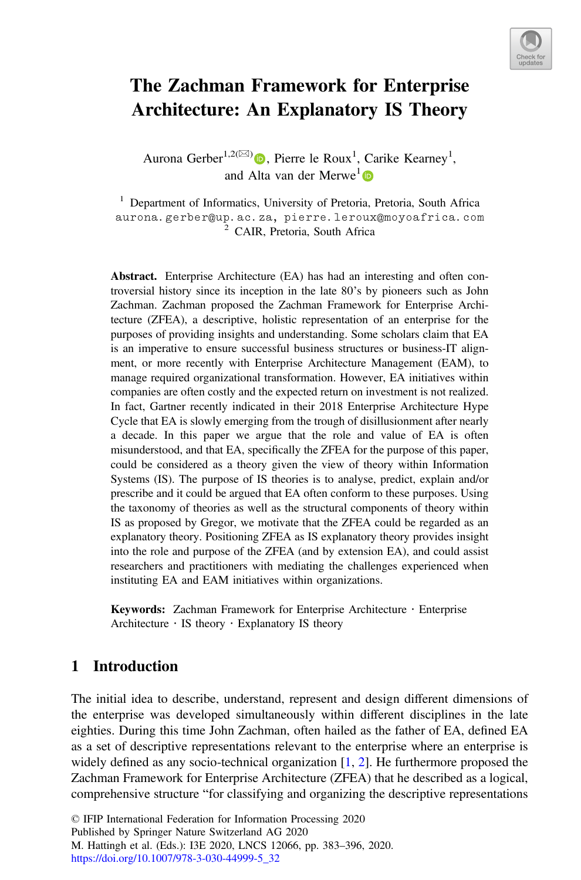

# The Zachman Framework for Enterprise Architecture: An Explanatory IS Theory

Aurona Gerber<sup>1,2 $(\boxtimes)$  $(\boxtimes)$ </sup>  $\bullet$ , Pierre le Roux<sup>1</sup>, Carike Kearney<sup>1</sup>, and Alta van der Merwe<sup>[1](http://orcid.org/0000-0002-3652-7512)</sup>

<sup>1</sup> Department of Informatics, University of Pretoria, Pretoria, South Africa aurona. gerber@up.ac. za, pierre. leroux@moyoafrica.com  $2$  CAIR, Pretoria, South Africa.

Abstract. Enterprise Architecture (EA) has had an interesting and often controversial history since its inception in the late 80's by pioneers such as John Zachman. Zachman proposed the Zachman Framework for Enterprise Architecture (ZFEA), a descriptive, holistic representation of an enterprise for the purposes of providing insights and understanding. Some scholars claim that EA is an imperative to ensure successful business structures or business-IT alignment, or more recently with Enterprise Architecture Management (EAM), to manage required organizational transformation. However, EA initiatives within companies are often costly and the expected return on investment is not realized. In fact, Gartner recently indicated in their 2018 Enterprise Architecture Hype Cycle that EA is slowly emerging from the trough of disillusionment after nearly a decade. In this paper we argue that the role and value of EA is often misunderstood, and that EA, specifically the ZFEA for the purpose of this paper, could be considered as a theory given the view of theory within Information Systems (IS). The purpose of IS theories is to analyse, predict, explain and/or prescribe and it could be argued that EA often conform to these purposes. Using the taxonomy of theories as well as the structural components of theory within IS as proposed by Gregor, we motivate that the ZFEA could be regarded as an explanatory theory. Positioning ZFEA as IS explanatory theory provides insight into the role and purpose of the ZFEA (and by extension EA), and could assist researchers and practitioners with mediating the challenges experienced when instituting EA and EAM initiatives within organizations.

Keywords: Zachman Framework for Enterprise Architecture · Enterprise Architecture  $\cdot$  IS theory  $\cdot$  Explanatory IS theory

## 1 Introduction

The initial idea to describe, understand, represent and design different dimensions of the enterprise was developed simultaneously within different disciplines in the late eighties. During this time John Zachman, often hailed as the father of EA, defined EA as a set of descriptive representations relevant to the enterprise where an enterprise is widely defined as any socio-technical organization  $[1, 2]$  $[1, 2]$  $[1, 2]$  $[1, 2]$  $[1, 2]$ . He furthermore proposed the Zachman Framework for Enterprise Architecture (ZFEA) that he described as a logical, comprehensive structure "for classifying and organizing the descriptive representations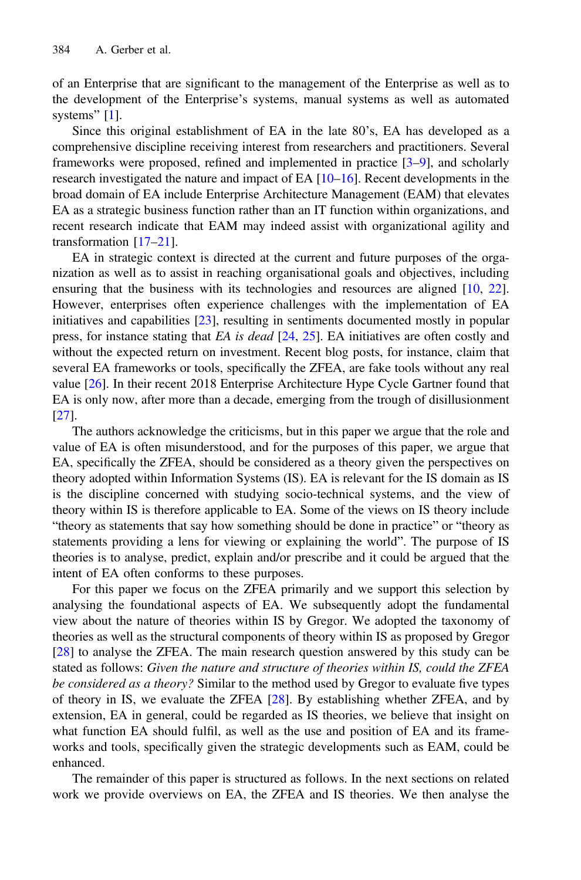of an Enterprise that are significant to the management of the Enterprise as well as to the development of the Enterprise's systems, manual systems as well as automated systems" [[1\]](#page-10-0).

Since this original establishment of EA in the late 80's, EA has developed as a comprehensive discipline receiving interest from researchers and practitioners. Several frameworks were proposed, refined and implemented in practice [\[3](#page-10-0)–[9](#page-11-0)], and scholarly research investigated the nature and impact of EA [[10](#page-11-0)–[16\]](#page-11-0). Recent developments in the broad domain of EA include Enterprise Architecture Management (EAM) that elevates EA as a strategic business function rather than an IT function within organizations, and recent research indicate that EAM may indeed assist with organizational agility and transformation [\[17](#page-11-0)–[21](#page-11-0)].

EA in strategic context is directed at the current and future purposes of the organization as well as to assist in reaching organisational goals and objectives, including ensuring that the business with its technologies and resources are aligned [\[10](#page-11-0), [22\]](#page-11-0). However, enterprises often experience challenges with the implementation of EA initiatives and capabilities [\[23](#page-11-0)], resulting in sentiments documented mostly in popular press, for instance stating that EA is dead [\[24](#page-11-0), [25\]](#page-11-0). EA initiatives are often costly and without the expected return on investment. Recent blog posts, for instance, claim that several EA frameworks or tools, specifically the ZFEA, are fake tools without any real value [\[26](#page-11-0)]. In their recent 2018 Enterprise Architecture Hype Cycle Gartner found that EA is only now, after more than a decade, emerging from the trough of disillusionment [[27\]](#page-11-0).

The authors acknowledge the criticisms, but in this paper we argue that the role and value of EA is often misunderstood, and for the purposes of this paper, we argue that EA, specifically the ZFEA, should be considered as a theory given the perspectives on theory adopted within Information Systems (IS). EA is relevant for the IS domain as IS is the discipline concerned with studying socio-technical systems, and the view of theory within IS is therefore applicable to EA. Some of the views on IS theory include "theory as statements that say how something should be done in practice" or "theory as statements providing a lens for viewing or explaining the world". The purpose of IS theories is to analyse, predict, explain and/or prescribe and it could be argued that the intent of EA often conforms to these purposes.

For this paper we focus on the ZFEA primarily and we support this selection by analysing the foundational aspects of EA. We subsequently adopt the fundamental view about the nature of theories within IS by Gregor. We adopted the taxonomy of theories as well as the structural components of theory within IS as proposed by Gregor [[28\]](#page-11-0) to analyse the ZFEA. The main research question answered by this study can be stated as follows: Given the nature and structure of theories within IS, could the ZFEA be considered as a theory? Similar to the method used by Gregor to evaluate five types of theory in IS, we evaluate the ZFEA [[28\]](#page-11-0). By establishing whether ZFEA, and by extension, EA in general, could be regarded as IS theories, we believe that insight on what function EA should fulfil, as well as the use and position of EA and its frameworks and tools, specifically given the strategic developments such as EAM, could be enhanced.

The remainder of this paper is structured as follows. In the next sections on related work we provide overviews on EA, the ZFEA and IS theories. We then analyse the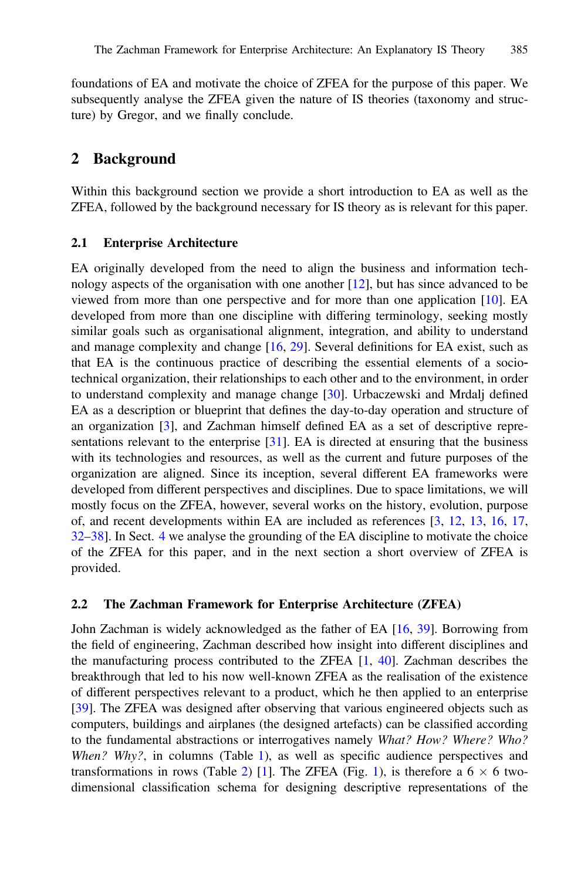foundations of EA and motivate the choice of ZFEA for the purpose of this paper. We subsequently analyse the ZFEA given the nature of IS theories (taxonomy and structure) by Gregor, and we finally conclude.

#### 2 Background

Within this background section we provide a short introduction to EA as well as the ZFEA, followed by the background necessary for IS theory as is relevant for this paper.

#### 2.1 Enterprise Architecture

EA originally developed from the need to align the business and information technology aspects of the organisation with one another [\[12](#page-11-0)], but has since advanced to be viewed from more than one perspective and for more than one application [\[10](#page-11-0)]. EA developed from more than one discipline with differing terminology, seeking mostly similar goals such as organisational alignment, integration, and ability to understand and manage complexity and change [\[16](#page-11-0), [29\]](#page-12-0). Several definitions for EA exist, such as that EA is the continuous practice of describing the essential elements of a socio‐ technical organization, their relationships to each other and to the environment, in order to understand complexity and manage change [[30\]](#page-12-0). Urbaczewski and Mrdalj defined EA as a description or blueprint that defines the day-to-day operation and structure of an organization [[3\]](#page-10-0), and Zachman himself defined EA as a set of descriptive representations relevant to the enterprise [[31\]](#page-12-0). EA is directed at ensuring that the business with its technologies and resources, as well as the current and future purposes of the organization are aligned. Since its inception, several different EA frameworks were developed from different perspectives and disciplines. Due to space limitations, we will mostly focus on the ZFEA, however, several works on the history, evolution, purpose of, and recent developments within EA are included as references [[3,](#page-10-0) [12](#page-11-0), [13](#page-11-0), [16](#page-11-0), [17](#page-11-0), [32](#page-12-0)–[38\]](#page-12-0). In Sect. [4](#page-7-0) we analyse the grounding of the EA discipline to motivate the choice of the ZFEA for this paper, and in the next section a short overview of ZFEA is provided.

#### 2.2 The Zachman Framework for Enterprise Architecture (ZFEA)

John Zachman is widely acknowledged as the father of EA [[16,](#page-11-0) [39\]](#page-12-0). Borrowing from the field of engineering, Zachman described how insight into different disciplines and the manufacturing process contributed to the ZFEA [[1,](#page-10-0) [40](#page-12-0)]. Zachman describes the breakthrough that led to his now well-known ZFEA as the realisation of the existence of different perspectives relevant to a product, which he then applied to an enterprise [\[39](#page-12-0)]. The ZFEA was designed after observing that various engineered objects such as computers, buildings and airplanes (the designed artefacts) can be classified according to the fundamental abstractions or interrogatives namely What? How? Where? Who? When? Why?, in columns (Table [1](#page-3-0)), as well as specific audience perspectives and transformations in rows (Table [2\)](#page-4-0) [[1\]](#page-10-0). The ZFEA (Fig. [1\)](#page-3-0), is therefore a  $6 \times 6$  twodimensional classification schema for designing descriptive representations of the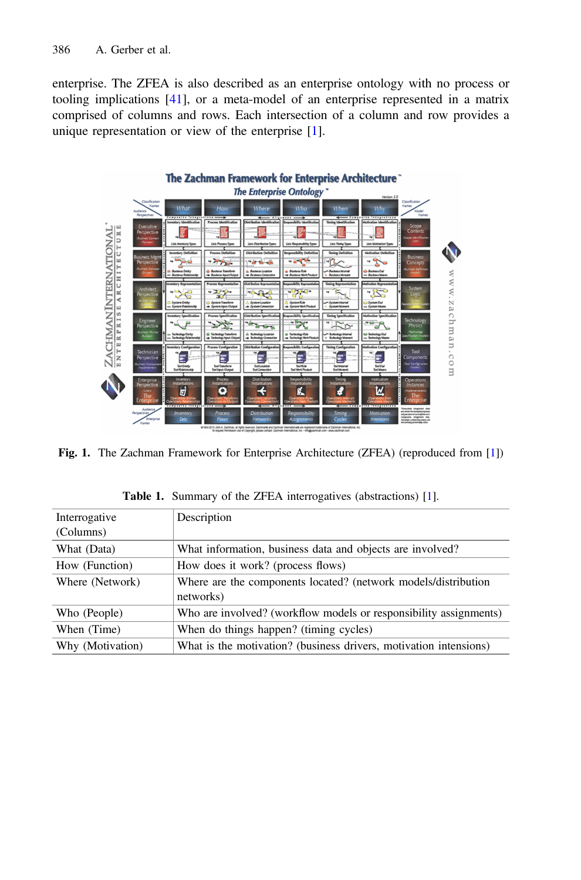<span id="page-3-0"></span>enterprise. The ZFEA is also described as an enterprise ontology with no process or tooling implications [\[41](#page-12-0)], or a meta-model of an enterprise represented in a matrix comprised of columns and rows. Each intersection of a column and row provides a unique representation or view of the enterprise [[1\]](#page-10-0).



Fig. 1. The Zachman Framework for Enterprise Architecture (ZFEA) (reproduced from [[1](#page-10-0)])

| Interrogative    | Description                                                                 |
|------------------|-----------------------------------------------------------------------------|
| (Columns)        |                                                                             |
| What (Data)      | What information, business data and objects are involved?                   |
| How (Function)   | How does it work? (process flows)                                           |
| Where (Network)  | Where are the components located? (network models/distribution<br>networks) |
| Who (People)     | Who are involved? (workflow models or responsibility assignments)           |
| When (Time)      | When do things happen? (timing cycles)                                      |
| Why (Motivation) | What is the motivation? (business drivers, motivation intensions)           |

Table 1. Summary of the ZFEA interrogatives (abstractions) [[1](#page-10-0)].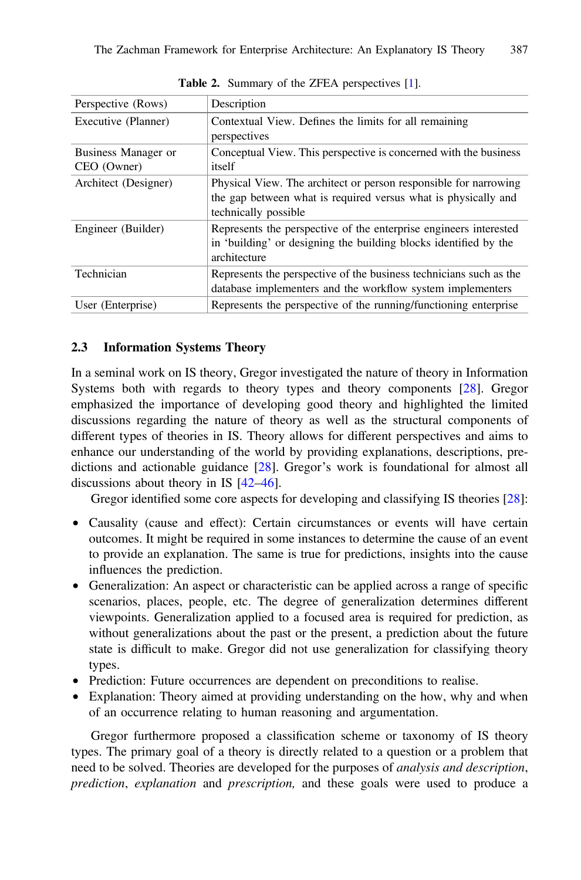<span id="page-4-0"></span>

| Perspective (Rows)   | Description                                                                                                                                                |
|----------------------|------------------------------------------------------------------------------------------------------------------------------------------------------------|
| Executive (Planner)  | Contextual View. Defines the limits for all remaining                                                                                                      |
|                      | perspectives                                                                                                                                               |
| Business Manager or  | Conceptual View. This perspective is concerned with the business                                                                                           |
| CEO (Owner)          | itself                                                                                                                                                     |
| Architect (Designer) | Physical View. The architect or person responsible for narrowing<br>the gap between what is required versus what is physically and<br>technically possible |
| Engineer (Builder)   | Represents the perspective of the enterprise engineers interested<br>in 'building' or designing the building blocks identified by the<br>architecture      |
| Technician           | Represents the perspective of the business technicians such as the<br>database implementers and the workflow system implementers                           |
| User (Enterprise)    | Represents the perspective of the running/functioning enterprise                                                                                           |

Table 2. Summary of the ZFEA perspectives [[1](#page-10-0)].

#### 2.3 Information Systems Theory

In a seminal work on IS theory, Gregor investigated the nature of theory in Information Systems both with regards to theory types and theory components [[28\]](#page-11-0). Gregor emphasized the importance of developing good theory and highlighted the limited discussions regarding the nature of theory as well as the structural components of different types of theories in IS. Theory allows for different perspectives and aims to enhance our understanding of the world by providing explanations, descriptions, predictions and actionable guidance [\[28](#page-11-0)]. Gregor's work is foundational for almost all discussions about theory in IS [[42](#page-12-0)–[46](#page-12-0)].

Gregor identified some core aspects for developing and classifying IS theories [[28\]](#page-11-0):

- Causality (cause and effect): Certain circumstances or events will have certain outcomes. It might be required in some instances to determine the cause of an event to provide an explanation. The same is true for predictions, insights into the cause influences the prediction.
- Generalization: An aspect or characteristic can be applied across a range of specific scenarios, places, people, etc. The degree of generalization determines different viewpoints. Generalization applied to a focused area is required for prediction, as without generalizations about the past or the present, a prediction about the future state is difficult to make. Gregor did not use generalization for classifying theory types.
- Prediction: Future occurrences are dependent on preconditions to realise.
- Explanation: Theory aimed at providing understanding on the how, why and when of an occurrence relating to human reasoning and argumentation.

Gregor furthermore proposed a classification scheme or taxonomy of IS theory types. The primary goal of a theory is directly related to a question or a problem that need to be solved. Theories are developed for the purposes of analysis and description, prediction, explanation and prescription, and these goals were used to produce a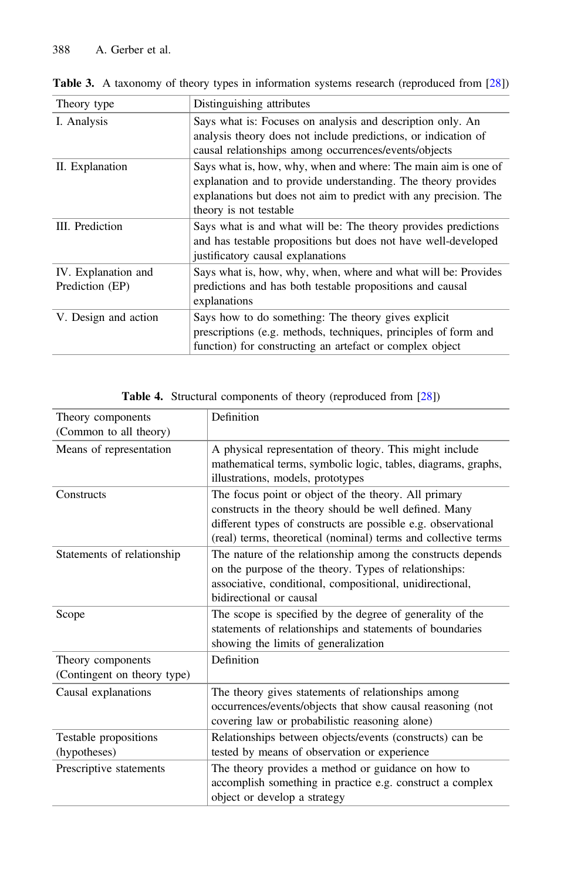| Theory type                            | Distinguishing attributes                                                                                                                                                                                                     |
|----------------------------------------|-------------------------------------------------------------------------------------------------------------------------------------------------------------------------------------------------------------------------------|
| I. Analysis                            | Says what is: Focuses on analysis and description only. An<br>analysis theory does not include predictions, or indication of<br>causal relationships among occurrences/events/objects                                         |
| II. Explanation                        | Says what is, how, why, when and where: The main aim is one of<br>explanation and to provide understanding. The theory provides<br>explanations but does not aim to predict with any precision. The<br>theory is not testable |
| III. Prediction                        | Says what is and what will be: The theory provides predictions<br>and has testable propositions but does not have well-developed<br>justificatory causal explanations                                                         |
| IV. Explanation and<br>Prediction (EP) | Says what is, how, why, when, where and what will be: Provides<br>predictions and has both testable propositions and causal<br>explanations                                                                                   |
| V. Design and action                   | Says how to do something: The theory gives explicit<br>prescriptions (e.g. methods, techniques, principles of form and<br>function) for constructing an artefact or complex object                                            |

<span id="page-5-0"></span>Table 3. A taxonomy of theory types in information systems research (reproduced from [\[28](#page-11-0)])

## Table 4. Structural components of theory (reproduced from [\[28](#page-11-0)])

| Theory components<br>(Common to all theory)      | Definition                                                                                                                                                                                                                                       |
|--------------------------------------------------|--------------------------------------------------------------------------------------------------------------------------------------------------------------------------------------------------------------------------------------------------|
| Means of representation                          | A physical representation of theory. This might include<br>mathematical terms, symbolic logic, tables, diagrams, graphs,<br>illustrations, models, prototypes                                                                                    |
| Constructs                                       | The focus point or object of the theory. All primary<br>constructs in the theory should be well defined. Many<br>different types of constructs are possible e.g. observational<br>(real) terms, theoretical (nominal) terms and collective terms |
| Statements of relationship                       | The nature of the relationship among the constructs depends<br>on the purpose of the theory. Types of relationships:<br>associative, conditional, compositional, unidirectional,<br>bidirectional or causal                                      |
| Scope                                            | The scope is specified by the degree of generality of the<br>statements of relationships and statements of boundaries<br>showing the limits of generalization                                                                                    |
| Theory components<br>(Contingent on theory type) | Definition                                                                                                                                                                                                                                       |
| Causal explanations                              | The theory gives statements of relationships among<br>occurrences/events/objects that show causal reasoning (not<br>covering law or probabilistic reasoning alone)                                                                               |
| Testable propositions<br>(hypotheses)            | Relationships between objects/events (constructs) can be<br>tested by means of observation or experience                                                                                                                                         |
| Prescriptive statements                          | The theory provides a method or guidance on how to<br>accomplish something in practice e.g. construct a complex<br>object or develop a strategy                                                                                                  |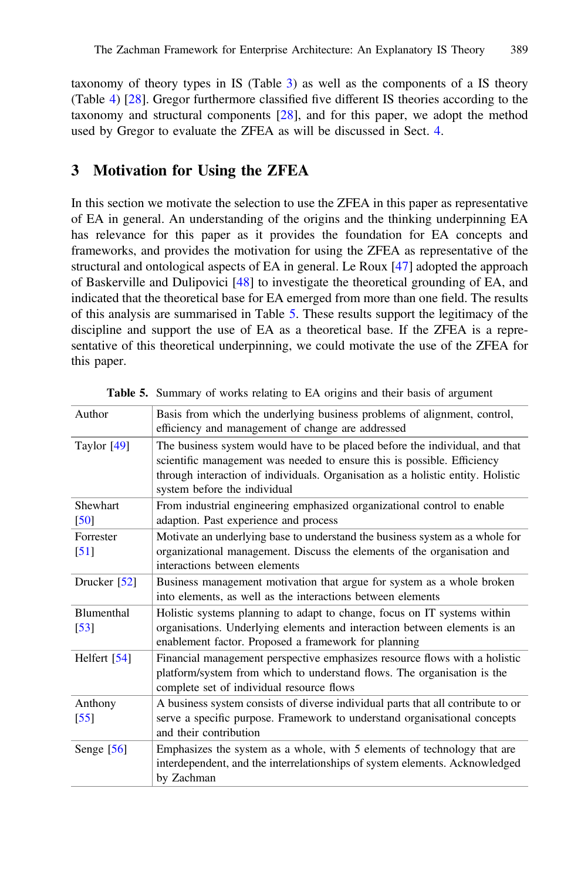<span id="page-6-0"></span>taxonomy of theory types in IS (Table [3\)](#page-5-0) as well as the components of a IS theory (Table [4\)](#page-5-0) [\[28](#page-11-0)]. Gregor furthermore classified five different IS theories according to the taxonomy and structural components [\[28](#page-11-0)], and for this paper, we adopt the method used by Gregor to evaluate the ZFEA as will be discussed in Sect. [4](#page-7-0).

## 3 Motivation for Using the ZFEA

In this section we motivate the selection to use the ZFEA in this paper as representative of EA in general. An understanding of the origins and the thinking underpinning EA has relevance for this paper as it provides the foundation for EA concepts and frameworks, and provides the motivation for using the ZFEA as representative of the structural and ontological aspects of EA in general. Le Roux [\[47](#page-12-0)] adopted the approach of Baskerville and Dulipovici [\[48](#page-12-0)] to investigate the theoretical grounding of EA, and indicated that the theoretical base for EA emerged from more than one field. The results of this analysis are summarised in Table 5. These results support the legitimacy of the discipline and support the use of EA as a theoretical base. If the ZFEA is a representative of this theoretical underpinning, we could motivate the use of the ZFEA for this paper.

| Author                                 | Basis from which the underlying business problems of alignment, control,<br>efficiency and management of change are addressed                                                                                                                                             |
|----------------------------------------|---------------------------------------------------------------------------------------------------------------------------------------------------------------------------------------------------------------------------------------------------------------------------|
| Taylor [49]                            | The business system would have to be placed before the individual, and that<br>scientific management was needed to ensure this is possible. Efficiency<br>through interaction of individuals. Organisation as a holistic entity. Holistic<br>system before the individual |
| Shewhart<br>$\left[50\right]$          | From industrial engineering emphasized organizational control to enable<br>adaption. Past experience and process                                                                                                                                                          |
| Forrester<br>$\left[51\right]$         | Motivate an underlying base to understand the business system as a whole for<br>organizational management. Discuss the elements of the organisation and<br>interactions between elements                                                                                  |
| Drucker [52]                           | Business management motivation that argue for system as a whole broken<br>into elements, as well as the interactions between elements                                                                                                                                     |
| <b>Blumenthal</b><br>$\left[53\right]$ | Holistic systems planning to adapt to change, focus on IT systems within<br>organisations. Underlying elements and interaction between elements is an<br>enablement factor. Proposed a framework for planning                                                             |
| Helfert $[54]$                         | Financial management perspective emphasizes resource flows with a holistic<br>platform/system from which to understand flows. The organisation is the<br>complete set of individual resource flows                                                                        |
| Anthony<br>$[55]$                      | A business system consists of diverse individual parts that all contribute to or<br>serve a specific purpose. Framework to understand organisational concepts<br>and their contribution                                                                                   |
| Senge $[56]$                           | Emphasizes the system as a whole, with 5 elements of technology that are<br>interdependent, and the interrelationships of system elements. Acknowledged<br>by Zachman                                                                                                     |

Table 5. Summary of works relating to EA origins and their basis of argument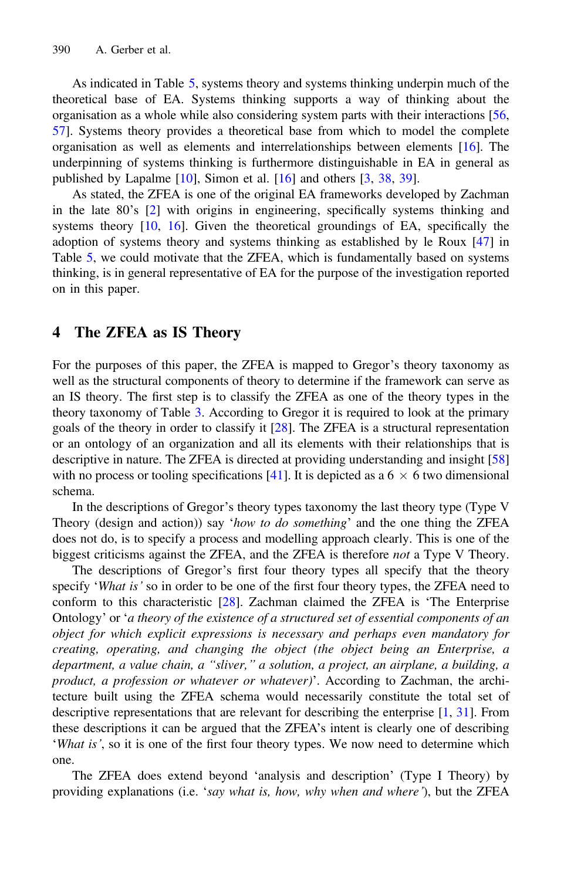<span id="page-7-0"></span>As indicated in Table [5,](#page-6-0) systems theory and systems thinking underpin much of the theoretical base of EA. Systems thinking supports a way of thinking about the organisation as a whole while also considering system parts with their interactions [\[56](#page-13-0), [57\]](#page-13-0). Systems theory provides a theoretical base from which to model the complete organisation as well as elements and interrelationships between elements [\[16](#page-11-0)]. The underpinning of systems thinking is furthermore distinguishable in EA in general as published by Lapalme [[10\]](#page-11-0), Simon et al. [[16\]](#page-11-0) and others [[3,](#page-10-0) [38](#page-12-0), [39](#page-12-0)].

As stated, the ZFEA is one of the original EA frameworks developed by Zachman in the late 80's [\[2](#page-10-0)] with origins in engineering, specifically systems thinking and systems theory [\[10](#page-11-0), [16\]](#page-11-0). Given the theoretical groundings of EA, specifically the adoption of systems theory and systems thinking as established by le Roux [[47\]](#page-12-0) in Table [5](#page-6-0), we could motivate that the ZFEA, which is fundamentally based on systems thinking, is in general representative of EA for the purpose of the investigation reported on in this paper.

### 4 The ZFEA as IS Theory

For the purposes of this paper, the ZFEA is mapped to Gregor's theory taxonomy as well as the structural components of theory to determine if the framework can serve as an IS theory. The first step is to classify the ZFEA as one of the theory types in the theory taxonomy of Table [3.](#page-5-0) According to Gregor it is required to look at the primary goals of the theory in order to classify it [[28\]](#page-11-0). The ZFEA is a structural representation or an ontology of an organization and all its elements with their relationships that is descriptive in nature. The ZFEA is directed at providing understanding and insight [\[58](#page-13-0)] with no process or tooling specifications [[41\]](#page-12-0). It is depicted as a  $6 \times 6$  two dimensional schema.

In the descriptions of Gregor's theory types taxonomy the last theory type (Type V Theory (design and action)) say 'how to do something' and the one thing the ZFEA does not do, is to specify a process and modelling approach clearly. This is one of the biggest criticisms against the ZFEA, and the ZFEA is therefore not a Type V Theory.

The descriptions of Gregor's first four theory types all specify that the theory specify 'What is' so in order to be one of the first four theory types, the ZFEA need to conform to this characteristic [\[28](#page-11-0)]. Zachman claimed the ZFEA is 'The Enterprise Ontology' or 'a theory of the existence of a structured set of essential components of an object for which explicit expressions is necessary and perhaps even mandatory for creating, operating, and changing the object (the object being an Enterprise, a department, a value chain, a "sliver," a solution, a project, an airplane, a building, a product, a profession or whatever or whatever)'. According to Zachman, the architecture built using the ZFEA schema would necessarily constitute the total set of descriptive representations that are relevant for describing the enterprise [[1,](#page-10-0) [31](#page-12-0)]. From these descriptions it can be argued that the ZFEA's intent is clearly one of describing 'What is', so it is one of the first four theory types. We now need to determine which one.

The ZFEA does extend beyond 'analysis and description' (Type I Theory) by providing explanations (i.e. 'say what is, how, why when and where'), but the ZFEA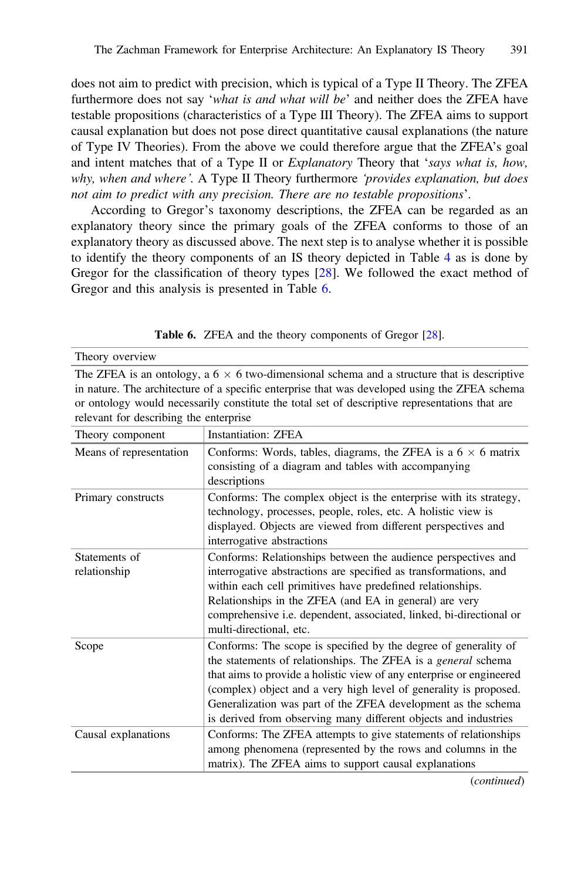does not aim to predict with precision, which is typical of a Type II Theory. The ZFEA furthermore does not say 'what is and what will be' and neither does the ZFEA have testable propositions (characteristics of a Type III Theory). The ZFEA aims to support causal explanation but does not pose direct quantitative causal explanations (the nature of Type IV Theories). From the above we could therefore argue that the ZFEA's goal and intent matches that of a Type II or Explanatory Theory that 'says what is, how, why, when and where'. A Type II Theory furthermore 'provides explanation, but does not aim to predict with any precision. There are no testable propositions'.

According to Gregor's taxonomy descriptions, the ZFEA can be regarded as an explanatory theory since the primary goals of the ZFEA conforms to those of an explanatory theory as discussed above. The next step is to analyse whether it is possible to identify the theory components of an IS theory depicted in Table [4](#page-5-0) as is done by Gregor for the classification of theory types [\[28](#page-11-0)]. We followed the exact method of Gregor and this analysis is presented in Table 6.

| Theory overview                                                                                                                                                                                                                                                                                       |                                                                                                                                                                                                                                                                                                                                                                                                                   |  |
|-------------------------------------------------------------------------------------------------------------------------------------------------------------------------------------------------------------------------------------------------------------------------------------------------------|-------------------------------------------------------------------------------------------------------------------------------------------------------------------------------------------------------------------------------------------------------------------------------------------------------------------------------------------------------------------------------------------------------------------|--|
| The ZFEA is an ontology, a $6 \times 6$ two-dimensional schema and a structure that is descriptive<br>in nature. The architecture of a specific enterprise that was developed using the ZFEA schema<br>or ontology would necessarily constitute the total set of descriptive representations that are |                                                                                                                                                                                                                                                                                                                                                                                                                   |  |
| relevant for describing the enterprise                                                                                                                                                                                                                                                                |                                                                                                                                                                                                                                                                                                                                                                                                                   |  |
| Theory component                                                                                                                                                                                                                                                                                      | <b>Instantiation: ZFEA</b>                                                                                                                                                                                                                                                                                                                                                                                        |  |
| Means of representation                                                                                                                                                                                                                                                                               | Conforms: Words, tables, diagrams, the ZFEA is a $6 \times 6$ matrix<br>consisting of a diagram and tables with accompanying<br>descriptions                                                                                                                                                                                                                                                                      |  |
| Primary constructs                                                                                                                                                                                                                                                                                    | Conforms: The complex object is the enterprise with its strategy,<br>technology, processes, people, roles, etc. A holistic view is<br>displayed. Objects are viewed from different perspectives and<br>interrogative abstractions                                                                                                                                                                                 |  |
| Statements of<br>relationship                                                                                                                                                                                                                                                                         | Conforms: Relationships between the audience perspectives and<br>interrogative abstractions are specified as transformations, and<br>within each cell primitives have predefined relationships.<br>Relationships in the ZFEA (and EA in general) are very<br>comprehensive <i>i.e.</i> dependent, associated, linked, bi-directional or<br>multi-directional, etc.                                                |  |
| Scope                                                                                                                                                                                                                                                                                                 | Conforms: The scope is specified by the degree of generality of<br>the statements of relationships. The ZFEA is a general schema<br>that aims to provide a holistic view of any enterprise or engineered<br>(complex) object and a very high level of generality is proposed.<br>Generalization was part of the ZFEA development as the schema<br>is derived from observing many different objects and industries |  |
| Causal explanations                                                                                                                                                                                                                                                                                   | Conforms: The ZFEA attempts to give statements of relationships<br>among phenomena (represented by the rows and columns in the<br>matrix). The ZFEA aims to support causal explanations                                                                                                                                                                                                                           |  |

Table 6. ZFEA and the theory components of Gregor [\[28](#page-11-0)].

(continued)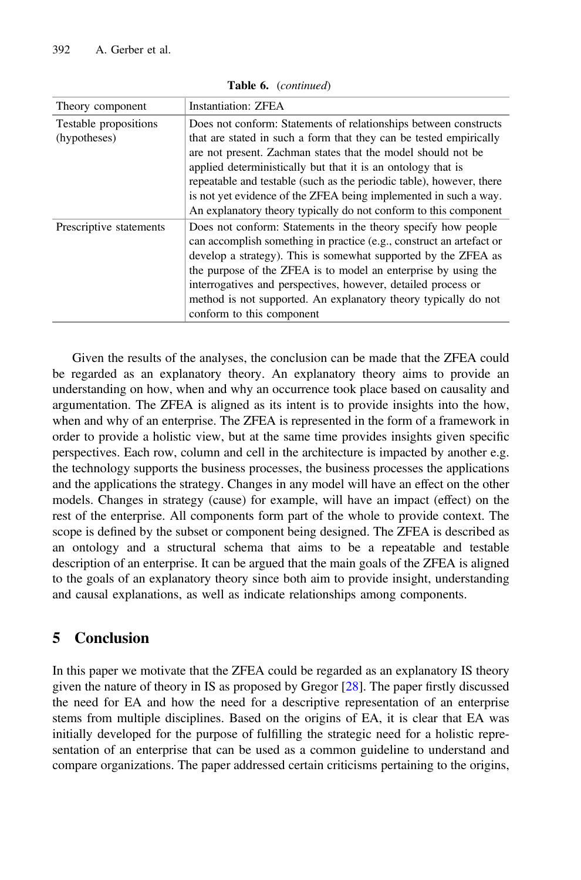| Theory component        | <b>Instantiation: ZFEA</b>                                           |
|-------------------------|----------------------------------------------------------------------|
| Testable propositions   | Does not conform: Statements of relationships between constructs     |
| (hypotheses)            | that are stated in such a form that they can be tested empirically   |
|                         | are not present. Zachman states that the model should not be         |
|                         | applied deterministically but that it is an ontology that is         |
|                         | repeatable and testable (such as the periodic table), however, there |
|                         | is not yet evidence of the ZFEA being implemented in such a way.     |
|                         | An explanatory theory typically do not conform to this component     |
| Prescriptive statements | Does not conform: Statements in the theory specify how people        |
|                         | can accomplish something in practice (e.g., construct an artefact or |
|                         | develop a strategy). This is somewhat supported by the ZFEA as       |
|                         | the purpose of the ZFEA is to model an enterprise by using the       |
|                         | interrogatives and perspectives, however, detailed process or        |
|                         | method is not supported. An explanatory theory typically do not      |
|                         | conform to this component                                            |

Table 6. (continued)

Given the results of the analyses, the conclusion can be made that the ZFEA could be regarded as an explanatory theory. An explanatory theory aims to provide an understanding on how, when and why an occurrence took place based on causality and argumentation. The ZFEA is aligned as its intent is to provide insights into the how, when and why of an enterprise. The ZFEA is represented in the form of a framework in order to provide a holistic view, but at the same time provides insights given specific perspectives. Each row, column and cell in the architecture is impacted by another e.g. the technology supports the business processes, the business processes the applications and the applications the strategy. Changes in any model will have an effect on the other models. Changes in strategy (cause) for example, will have an impact (effect) on the rest of the enterprise. All components form part of the whole to provide context. The scope is defined by the subset or component being designed. The ZFEA is described as an ontology and a structural schema that aims to be a repeatable and testable description of an enterprise. It can be argued that the main goals of the ZFEA is aligned to the goals of an explanatory theory since both aim to provide insight, understanding and causal explanations, as well as indicate relationships among components.

# 5 Conclusion

In this paper we motivate that the ZFEA could be regarded as an explanatory IS theory given the nature of theory in IS as proposed by Gregor [[28\]](#page-11-0). The paper firstly discussed the need for EA and how the need for a descriptive representation of an enterprise stems from multiple disciplines. Based on the origins of EA, it is clear that EA was initially developed for the purpose of fulfilling the strategic need for a holistic representation of an enterprise that can be used as a common guideline to understand and compare organizations. The paper addressed certain criticisms pertaining to the origins,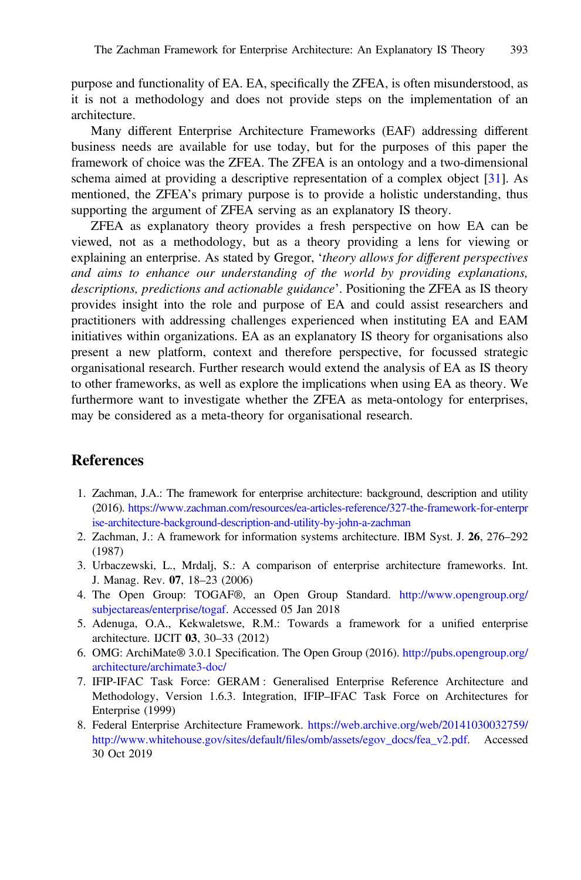<span id="page-10-0"></span>purpose and functionality of EA. EA, specifically the ZFEA, is often misunderstood, as it is not a methodology and does not provide steps on the implementation of an architecture.

Many different Enterprise Architecture Frameworks (EAF) addressing different business needs are available for use today, but for the purposes of this paper the framework of choice was the ZFEA. The ZFEA is an ontology and a two-dimensional schema aimed at providing a descriptive representation of a complex object [\[31](#page-12-0)]. As mentioned, the ZFEA's primary purpose is to provide a holistic understanding, thus supporting the argument of ZFEA serving as an explanatory IS theory.

ZFEA as explanatory theory provides a fresh perspective on how EA can be viewed, not as a methodology, but as a theory providing a lens for viewing or explaining an enterprise. As stated by Gregor, 'theory allows for different perspectives and aims to enhance our understanding of the world by providing explanations, descriptions, predictions and actionable guidance'. Positioning the ZFEA as IS theory provides insight into the role and purpose of EA and could assist researchers and practitioners with addressing challenges experienced when instituting EA and EAM initiatives within organizations. EA as an explanatory IS theory for organisations also present a new platform, context and therefore perspective, for focussed strategic organisational research. Further research would extend the analysis of EA as IS theory to other frameworks, as well as explore the implications when using EA as theory. We furthermore want to investigate whether the ZFEA as meta-ontology for enterprises, may be considered as a meta-theory for organisational research.

#### References

- 1. Zachman, J.A.: The framework for enterprise architecture: background, description and utility (2016). [https://www.zachman.com/resources/ea-articles-reference/327-the-framework-for-enterpr](https://www.zachman.com/resources/ea-articles-reference/327-the-framework-for-enterprise-architecture-background-description-and-utility-by-john-a-zachman) [ise-architecture-background-description-and-utility-by-john-a-zachman](https://www.zachman.com/resources/ea-articles-reference/327-the-framework-for-enterprise-architecture-background-description-and-utility-by-john-a-zachman)
- 2. Zachman, J.: A framework for information systems architecture. IBM Syst. J. 26, 276–292 (1987)
- 3. Urbaczewski, L., Mrdalj, S.: A comparison of enterprise architecture frameworks. Int. J. Manag. Rev. 07, 18–23 (2006)
- 4. The Open Group: TOGAF®, an Open Group Standard. [http://www.opengroup.org/](http://www.opengroup.org/subjectareas/enterprise/togaf) [subjectareas/enterprise/togaf.](http://www.opengroup.org/subjectareas/enterprise/togaf) Accessed 05 Jan 2018
- 5. Adenuga, O.A., Kekwaletswe, R.M.: Towards a framework for a unified enterprise architecture. IJCIT 03, 30–33 (2012)
- 6. OMG: ArchiMate® 3.0.1 Specification. The Open Group (2016). [http://pubs.opengroup.org/](http://pubs.opengroup.org/architecture/archimate3-doc/) [architecture/archimate3-doc/](http://pubs.opengroup.org/architecture/archimate3-doc/)
- 7. IFIP-IFAC Task Force: GERAM : Generalised Enterprise Reference Architecture and Methodology, Version 1.6.3. Integration, IFIP–IFAC Task Force on Architectures for Enterprise (1999)
- 8. Federal Enterprise Architecture Framework. [https://web.archive.org/web/20141030032759/](https://web.archive.org/web/20141030032759/http://www.whitehouse.gov/sites/default/files/omb/assets/egov_docs/fea_v2.pdf) [http://www.whitehouse.gov/sites/default/](https://web.archive.org/web/20141030032759/http://www.whitehouse.gov/sites/default/files/omb/assets/egov_docs/fea_v2.pdf)files/omb/assets/egov\_docs/fea\_v2.pdf. Accessed 30 Oct 2019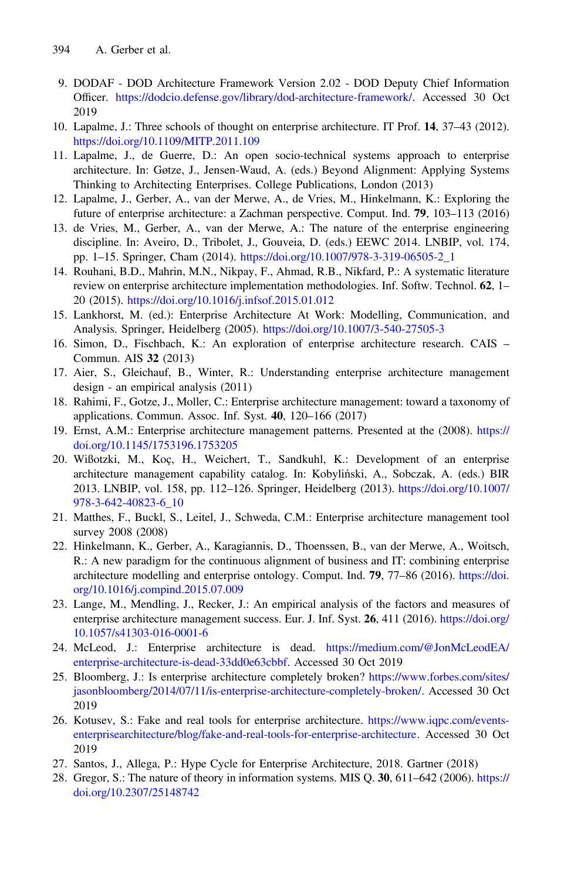- <span id="page-11-0"></span>9. DODAF - DOD Architecture Framework Version 2.02 - DOD Deputy Chief Information Officer. [https://dodcio.defense.gov/library/dod-architecture-framework/.](https://dodcio.defense.gov/library/dod-architecture-framework/) Accessed 30 Oct 2019
- 10. Lapalme, J.: Three schools of thought on enterprise architecture. IT Prof. 14, 37–43 (2012). <https://doi.org/10.1109/MITP.2011.109>
- 11. Lapalme, J., de Guerre, D.: An open socio-technical systems approach to enterprise architecture. In: Gøtze, J., Jensen-Waud, A. (eds.) Beyond Alignment: Applying Systems Thinking to Architecting Enterprises. College Publications, London (2013)
- 12. Lapalme, J., Gerber, A., van der Merwe, A., de Vries, M., Hinkelmann, K.: Exploring the future of enterprise architecture: a Zachman perspective. Comput. Ind. 79, 103–113 (2016)
- 13. de Vries, M., Gerber, A., van der Merwe, A.: The nature of the enterprise engineering discipline. In: Aveiro, D., Tribolet, J., Gouveia, D. (eds.) EEWC 2014. LNBIP, vol. 174, pp. 1–15. Springer, Cham (2014). [https://doi.org/10.1007/978-3-319-06505-2\\_1](https://doi.org/10.1007/978-3-319-06505-2_1)
- 14. Rouhani, B.D., Mahrin, M.N., Nikpay, F., Ahmad, R.B., Nikfard, P.: A systematic literature review on enterprise architecture implementation methodologies. Inf. Softw. Technol. 62, 1– 20 (2015). <https://doi.org/10.1016/j.infsof.2015.01.012>
- 15. Lankhorst, M. (ed.): Enterprise Architecture At Work: Modelling, Communication, and Analysis. Springer, Heidelberg (2005). <https://doi.org/10.1007/3-540-27505-3>
- 16. Simon, D., Fischbach, K.: An exploration of enterprise architecture research. CAIS Commun. AIS 32 (2013)
- 17. Aier, S., Gleichauf, B., Winter, R.: Understanding enterprise architecture management design - an empirical analysis (2011)
- 18. Rahimi, F., Gotze, J., Moller, C.: Enterprise architecture management: toward a taxonomy of applications. Commun. Assoc. Inf. Syst. 40, 120–166 (2017)
- 19. Ernst, A.M.: Enterprise architecture management patterns. Presented at the (2008). [https://](https://doi.org/10.1145/1753196.1753205) [doi.org/10.1145/1753196.1753205](https://doi.org/10.1145/1753196.1753205)
- 20. Wißotzki, M., Koç, H., Weichert, T., Sandkuhl, K.: Development of an enterprise architecture management capability catalog. In: Kobyliński, A., Sobczak, A. (eds.) BIR 2013. LNBIP, vol. 158, pp. 112–126. Springer, Heidelberg (2013). [https://doi.org/10.1007/](https://doi.org/10.1007/978-3-642-40823-6_10) [978-3-642-40823-6\\_10](https://doi.org/10.1007/978-3-642-40823-6_10)
- 21. Matthes, F., Buckl, S., Leitel, J., Schweda, C.M.: Enterprise architecture management tool survey 2008 (2008)
- 22. Hinkelmann, K., Gerber, A., Karagiannis, D., Thoenssen, B., van der Merwe, A., Woitsch, R.: A new paradigm for the continuous alignment of business and IT: combining enterprise architecture modelling and enterprise ontology. Comput. Ind. 79, 77–86 (2016). [https://doi.](https://doi.org/10.1016/j.compind.2015.07.009) [org/10.1016/j.compind.2015.07.009](https://doi.org/10.1016/j.compind.2015.07.009)
- 23. Lange, M., Mendling, J., Recker, J.: An empirical analysis of the factors and measures of enterprise architecture management success. Eur. J. Inf. Syst. 26, 411 (2016). [https://doi.org/](https://doi.org/10.1057/s41303-016-0001-6) [10.1057/s41303-016-0001-6](https://doi.org/10.1057/s41303-016-0001-6)
- 24. McLeod, J.: Enterprise architecture is dead. [https://medium.com/@JonMcLeodEA/](https://medium.com/%40JonMcLeodEA/enterprise-architecture-is-dead-33dd0e63cbbf) [enterprise-architecture-is-dead-33dd0e63cbbf](https://medium.com/%40JonMcLeodEA/enterprise-architecture-is-dead-33dd0e63cbbf). Accessed 30 Oct 2019
- 25. Bloomberg, J.: Is enterprise architecture completely broken? [https://www.forbes.com/sites/](https://www.forbes.com/sites/jasonbloomberg/2014/07/11/is-enterprise-architecture-completely-broken/) [jasonbloomberg/2014/07/11/is-enterprise-architecture-completely-broken/](https://www.forbes.com/sites/jasonbloomberg/2014/07/11/is-enterprise-architecture-completely-broken/). Accessed 30 Oct 2019
- 26. Kotusev, S.: Fake and real tools for enterprise architecture. [https://www.iqpc.com/events](https://www.iqpc.com/events-enterprisearchitecture/blog/fake-and-real-tools-for-enterprise-architecture)[enterprisearchitecture/blog/fake-and-real-tools-for-enterprise-architecture](https://www.iqpc.com/events-enterprisearchitecture/blog/fake-and-real-tools-for-enterprise-architecture). Accessed 30 Oct 2019
- 27. Santos, J., Allega, P.: Hype Cycle for Enterprise Architecture, 2018. Gartner (2018)
- 28. Gregor, S.: The nature of theory in information systems. MIS Q. 30, 611–642 (2006). [https://](https://doi.org/10.2307/25148742) [doi.org/10.2307/25148742](https://doi.org/10.2307/25148742)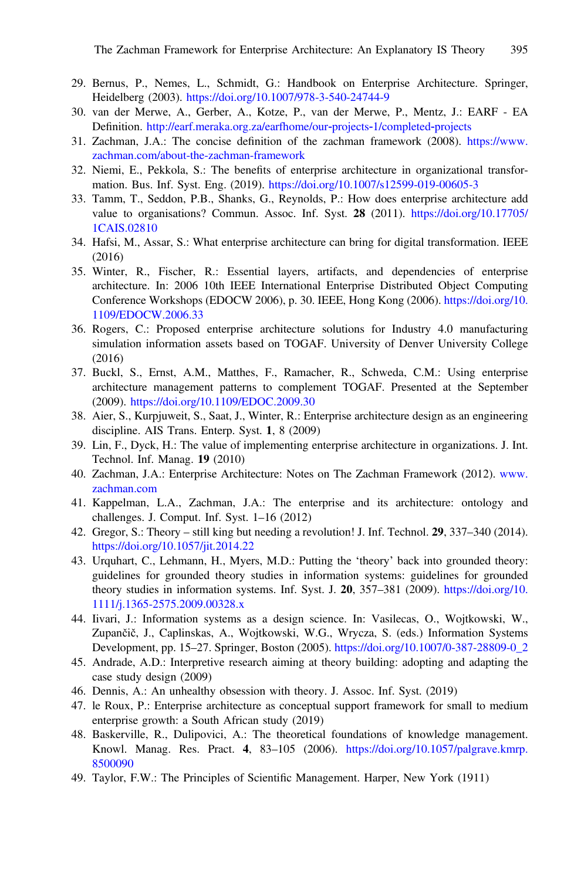- <span id="page-12-0"></span>29. Bernus, P., Nemes, L., Schmidt, G.: Handbook on Enterprise Architecture. Springer, Heidelberg (2003). <https://doi.org/10.1007/978-3-540-24744-9>
- 30. van der Merwe, A., Gerber, A., Kotze, P., van der Merwe, P., Mentz, J.: EARF EA Definition. [http://earf.meraka.org.za/earfhome/our](http://earf.meraka.org.za/earfhome/our%e2%80%90projects%e2%80%901/completed%e2%80%90projects)‐projects‐1/completed‐projects
- 31. Zachman, J.A.: The concise definition of the zachman framework (2008). [https://www.](https://www.zachman.com/about-the-zachman-framework) [zachman.com/about-the-zachman-framework](https://www.zachman.com/about-the-zachman-framework)
- 32. Niemi, E., Pekkola, S.: The benefits of enterprise architecture in organizational transformation. Bus. Inf. Syst. Eng. (2019). <https://doi.org/10.1007/s12599-019-00605-3>
- 33. Tamm, T., Seddon, P.B., Shanks, G., Reynolds, P.: How does enterprise architecture add value to organisations? Commun. Assoc. Inf. Syst. 28 (2011). [https://doi.org/10.17705/](https://doi.org/10.17705/1CAIS.02810) [1CAIS.02810](https://doi.org/10.17705/1CAIS.02810)
- 34. Hafsi, M., Assar, S.: What enterprise architecture can bring for digital transformation. IEEE (2016)
- 35. Winter, R., Fischer, R.: Essential layers, artifacts, and dependencies of enterprise architecture. In: 2006 10th IEEE International Enterprise Distributed Object Computing Conference Workshops (EDOCW 2006), p. 30. IEEE, Hong Kong (2006). [https://doi.org/10.](https://doi.org/10.1109/EDOCW.2006.33) [1109/EDOCW.2006.33](https://doi.org/10.1109/EDOCW.2006.33)
- 36. Rogers, C.: Proposed enterprise architecture solutions for Industry 4.0 manufacturing simulation information assets based on TOGAF. University of Denver University College (2016)
- 37. Buckl, S., Ernst, A.M., Matthes, F., Ramacher, R., Schweda, C.M.: Using enterprise architecture management patterns to complement TOGAF. Presented at the September (2009). <https://doi.org/10.1109/EDOC.2009.30>
- 38. Aier, S., Kurpjuweit, S., Saat, J., Winter, R.: Enterprise architecture design as an engineering discipline. AIS Trans. Enterp. Syst. 1, 8 (2009)
- 39. Lin, F., Dyck, H.: The value of implementing enterprise architecture in organizations. J. Int. Technol. Inf. Manag. 19 (2010)
- 40. Zachman, J.A.: Enterprise Architecture: Notes on The Zachman Framework (2012). [www.](http://www.zachman.com) [zachman.com](http://www.zachman.com)
- 41. Kappelman, L.A., Zachman, J.A.: The enterprise and its architecture: ontology and challenges. J. Comput. Inf. Syst. 1–16 (2012)
- 42. Gregor, S.: Theory still king but needing a revolution! J. Inf. Technol. 29, 337–340 (2014). <https://doi.org/10.1057/jit.2014.22>
- 43. Urquhart, C., Lehmann, H., Myers, M.D.: Putting the 'theory' back into grounded theory: guidelines for grounded theory studies in information systems: guidelines for grounded theory studies in information systems. Inf. Syst. J. 20, 357–381 (2009). [https://doi.org/10.](https://doi.org/10.1111/j.1365-2575.2009.00328.x) [1111/j.1365-2575.2009.00328.x](https://doi.org/10.1111/j.1365-2575.2009.00328.x)
- 44. Iivari, J.: Information systems as a design science. In: Vasilecas, O., Wojtkowski, W., Zupančič, J., Caplinskas, A., Wojtkowski, W.G., Wrycza, S. (eds.) Information Systems Development, pp. 15–27. Springer, Boston (2005). [https://doi.org/10.1007/0-387-28809-0\\_2](https://doi.org/10.1007/0-387-28809-0_2)
- 45. Andrade, A.D.: Interpretive research aiming at theory building: adopting and adapting the case study design (2009)
- 46. Dennis, A.: An unhealthy obsession with theory. J. Assoc. Inf. Syst. (2019)
- 47. le Roux, P.: Enterprise architecture as conceptual support framework for small to medium enterprise growth: a South African study (2019)
- 48. Baskerville, R., Dulipovici, A.: The theoretical foundations of knowledge management. Knowl. Manag. Res. Pract. 4, 83–105 (2006). [https://doi.org/10.1057/palgrave.kmrp.](https://doi.org/10.1057/palgrave.kmrp.8500090) [8500090](https://doi.org/10.1057/palgrave.kmrp.8500090)
- 49. Taylor, F.W.: The Principles of Scientific Management. Harper, New York (1911)